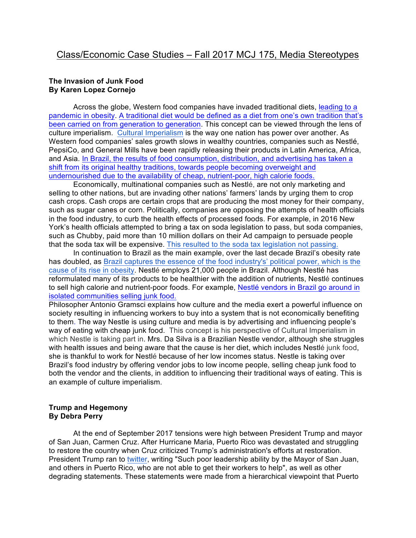#### **The Invasion of Junk Food By Karen Lopez Cornejo**

 Across the globe, Western food companies have invaded traditional diets, leading to a pandemic in obesity. A traditional diet would be defined as a diet from one's own tradition that's been carried on from generation to generation. This concept can be viewed through the lens of culture imperialism. Cultural Imperialism is the way one nation has power over another. As Western food companies' sales growth slows in wealthy countries, companies such as Nestlé, PepsiCo, and General Mills have been rapidly releasing their products in Latin America, Africa, and Asia. In Brazil, the results of food consumption, distribution, and advertising has taken a shift from its original healthy traditions, towards people becoming overweight and undernourished due to the availability of cheap, nutrient-poor, high calorie foods.

 Economically, multinational companies such as Nestlé, are not only marketing and selling to other nations, but are invading other nations' farmers' lands by urging them to crop cash crops. Cash crops are certain crops that are producing the most money for their company, such as sugar canes or corn. Politically, companies are opposing the attempts of health officials in the food industry, to curb the health effects of processed foods. For example, in 2016 New York's health officials attempted to bring a tax on soda legislation to pass, but soda companies, such as Chubby, paid more than 10 million dollars on their Ad campaign to persuade people that the soda tax will be expensive. This resulted to the soda tax legislation not passing.

 In continuation to Brazil as the main example, over the last decade Brazil's obesity rate has doubled, as Brazil captures the essence of the food industry's' political power, which is the cause of its rise in obesity. Nestlé employs 21,000 people in Brazil. Although Nestlé has reformulated many of its products to be healthier with the addition of nutrients, Nestlé continues to sell high calorie and nutrient-poor foods. For example, Nestlé vendors in Brazil go around in isolated communities selling junk food.

Philosopher Antonio Gramsci explains how culture and the media exert a powerful influence on society resulting in influencing workers to buy into a system that is not economically benefiting to them. The way Nestle is using culture and media is by advertising and influencing people's way of eating with cheap junk food. This concept is his perspective of Cultural Imperialism in which Nestle is taking part in. Mrs. Da Silva is a Brazilian Nestle vendor, although she struggles with health issues and being aware that the cause is her diet, which includes Nestlé junk food, she is thankful to work for Nestlé because of her low incomes status. Nestle is taking over Brazil's food industry by offering vendor jobs to low income people, selling cheap junk food to both the vendor and the clients, in addition to influencing their traditional ways of eating. This is an example of culture imperialism.

## **Trump and Hegemony By Debra Perry**

At the end of September 2017 tensions were high between President Trump and mayor of San Juan, Carmen Cruz. After Hurricane Maria, Puerto Rico was devastated and struggling to restore the country when Cruz criticized Trump's administration's efforts at restoration. President Trump ran to twitter, writing "Such poor leadership ability by the Mayor of San Juan, and others in Puerto Rico, who are not able to get their workers to help", as well as other degrading statements. These statements were made from a hierarchical viewpoint that Puerto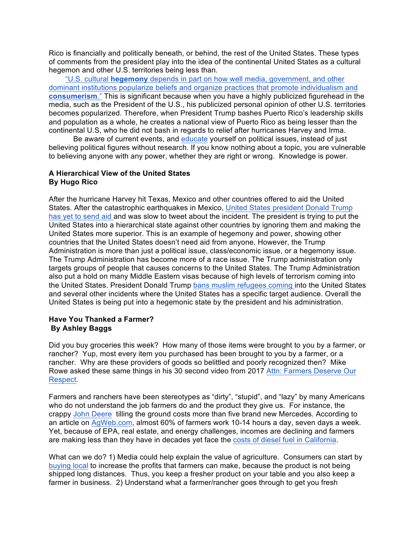Rico is financially and politically beneath, or behind, the rest of the United States. These types of comments from the president play into the idea of the continental United States as a cultural hegemon and other U.S. territories being less than.

 "U.S. cultural **hegemony** depends in part on how well media, government, and other dominant institutions popularize beliefs and organize practices that promote individualism and **consumerism**." This is significant because when you have a highly publicized figurehead in the media, such as the President of the U.S., his publicized personal opinion of other U.S. territories becomes popularized. Therefore, when President Trump bashes Puerto Rico's leadership skills and population as a whole, he creates a national view of Puerto Rico as being lesser than the continental U.S, who he did not bash in regards to relief after hurricanes Harvey and Irma.

Be aware of current events, and educate yourself on political issues, instead of just believing political figures without research. If you know nothing about a topic, you are vulnerable to believing anyone with any power, whether they are right or wrong. Knowledge is power.

## **A Hierarchical View of the United States By Hugo Rico**

After the hurricane Harvey hit Texas, Mexico and other countries offered to aid the United States. After the catastrophic earthquakes in Mexico, United States president Donald Trump has yet to send aid and was slow to tweet about the incident. The president is trying to put the United States into a hierarchical state against other countries by ignoring them and making the United States more superior. This is an example of hegemony and power, showing other countries that the United States doesn't need aid from anyone. However, the Trump Administration is more than just a political issue, class/economic issue, or a hegemony issue. The Trump Administration has become more of a race issue. The Trump administration only targets groups of people that causes concerns to the United States. The Trump Administration also put a hold on many Middle Eastern visas because of high levels of terrorism coming into the United States. President Donald Trump bans muslim refugees coming into the United States and several other incidents where the United States has a specific target audience. Overall the United States is being put into a hegemonic state by the president and his administration.

#### **Have You Thanked a Farmer? By Ashley Baggs**

Did you buy groceries this week? How many of those items were brought to you by a farmer, or rancher? Yup, most every item you purchased has been brought to you by a farmer, or a rancher. Why are these providers of goods so belittled and poorly recognized then? Mike Rowe asked these same things in his 30 second video from 2017 Attn: Farmers Deserve Our Respect.

Farmers and ranchers have been stereotypes as "dirty", "stupid", and "lazy" by many Americans who do not understand the job farmers do and the product they give us. For instance, the crappy John Deere tilling the ground costs more than five brand new Mercedes. According to an article on AgWeb.com, almost 60% of farmers work 10-14 hours a day, seven days a week. Yet, because of EPA, real estate, and energy challenges, incomes are declining and farmers are making less than they have in decades yet face the costs of diesel fuel in California.

What can we do? 1) Media could help explain the value of agriculture. Consumers can start by buying local to increase the profits that farmers can make, because the product is not being shipped long distances. Thus, you keep a fresher product on your table and you also keep a farmer in business. 2) Understand what a farmer/rancher goes through to get you fresh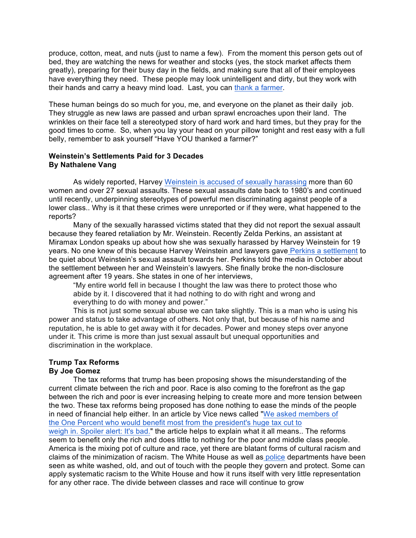produce, cotton, meat, and nuts (just to name a few). From the moment this person gets out of bed, they are watching the news for weather and stocks (yes, the stock market affects them greatly), preparing for their busy day in the fields, and making sure that all of their employees have everything they need. These people may look unintelligent and dirty, but they work with their hands and carry a heavy mind load. Last, you can thank a farmer.

These human beings do so much for you, me, and everyone on the planet as their daily job. They struggle as new laws are passed and urban sprawl encroaches upon their land. The wrinkles on their face tell a stereotyped story of hard work and hard times, but they pray for the good times to come. So, when you lay your head on your pillow tonight and rest easy with a full belly, remember to ask yourself "Have YOU thanked a farmer?"

#### **Weinstein's Settlements Paid for 3 Decades By Nathalene Vang**

As widely reported, Harvey Weinstein is accused of sexually harassing more than 60 women and over 27 sexual assaults. These sexual assaults date back to 1980's and continued until recently, underpinning stereotypes of powerful men discriminating against people of a lower class.. Why is it that these crimes were unreported or if they were, what happened to the reports?

Many of the sexually harassed victims stated that they did not report the sexual assault because they feared retaliation by Mr. Weinstein. Recently Zelda Perkins, an assistant at Miramax London speaks up about how she was sexually harassed by Harvey Weinstein for 19 years. No one knew of this because Harvey Weinstein and lawyers gave Perkins a settlement to be quiet about Weinstein's sexual assault towards her. Perkins told the media in October about the settlement between her and Weinstein's lawyers. She finally broke the non-disclosure agreement after 19 years. She states in one of her interviews,

 "My entire world fell in because I thought the law was there to protect those who abide by it. I discovered that it had nothing to do with right and wrong and everything to do with money and power."

This is not just some sexual abuse we can take slightly. This is a man who is using his power and status to take advantage of others. Not only that, but because of his name and reputation, he is able to get away with it for decades. Power and money steps over anyone under it. This crime is more than just sexual assault but unequal opportunities and discrimination in the workplace.

## **Trump Tax Reforms**

#### **By Joe Gomez**

 The tax reforms that trump has been proposing shows the misunderstanding of the current climate between the rich and poor. Race is also coming to the forefront as the gap between the rich and poor is ever increasing helping to create more and more tension between the two. These tax reforms being proposed has done nothing to ease the minds of the people in need of financial help either. In an article by Vice news called "We asked members of the One Percent who would benefit most from the president's huge tax cut to weigh in. Spoiler alert: It's bad." the article helps to explain what it all means.. The reforms seem to benefit only the rich and does little to nothing for the poor and middle class people. America is the mixing pot of culture and race, yet there are blatant forms of cultural racism and claims of the minimization of racism. The White House as well as police departments have been seen as white washed, old, and out of touch with the people they govern and protect. Some can apply systematic racism to the White House and how it runs itself with very little representation for any other race. The divide between classes and race will continue to grow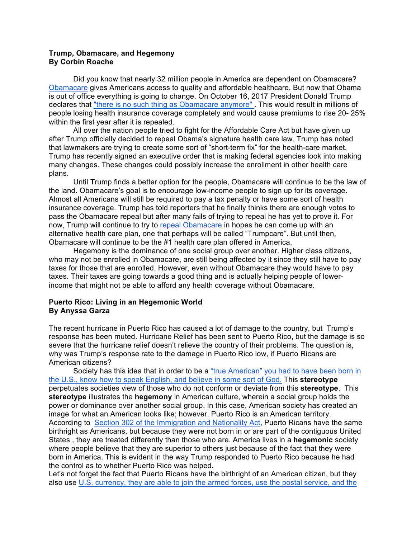#### **Trump, Obamacare, and Hegemony By Corbin Roache**

Did you know that nearly 32 million people in America are dependent on Obamacare? Obamacare gives Americans access to quality and affordable healthcare. But now that Obama is out of office everything is going to change. On October 16, 2017 President Donald Trump declares that "there is no such thing as Obamacare anymore". This would result in millions of people losing health insurance coverage completely and would cause premiums to rise 20- 25% within the first year after it is repealed.

All over the nation people tried to fight for the Affordable Care Act but have given up after Trump officially decided to repeal Obama's signature health care law. Trump has noted that lawmakers are trying to create some sort of "short-term fix" for the health-care market. Trump has recently signed an executive order that is making federal agencies look into making many changes. These changes could possibly increase the enrollment in other health care plans.

Until Trump finds a better option for the people, Obamacare will continue to be the law of the land. Obamacare's goal is to encourage low-income people to sign up for its coverage. Almost all Americans will still be required to pay a tax penalty or have some sort of health insurance coverage. Trump has told reporters that he finally thinks there are enough votes to pass the Obamacare repeal but after many fails of trying to repeal he has yet to prove it. For now, Trump will continue to try to repeal Obamacare in hopes he can come up with an alternative health care plan, one that perhaps will be called "Trumpcare". But until then, Obamacare will continue to be the #1 health care plan offered in America.

 Hegemony is the dominance of one social group over another. Higher class citizens, who may not be enrolled in Obamacare, are still being affected by it since they still have to pay taxes for those that are enrolled. However, even without Obamacare they would have to pay taxes. Their taxes are going towards a good thing and is actually helping people of lowerincome that might not be able to afford any health coverage without Obamacare.

## **Puerto Rico: Living in an Hegemonic World By Anyssa Garza**

The recent hurricane in Puerto Rico has caused a lot of damage to the country, but Trump's response has been muted. Hurricane Relief has been sent to Puerto Rico, but the damage is so severe that the hurricane relief doesn't relieve the country of their problems. The question is, why was Trump's response rate to the damage in Puerto Rico low, if Puerto Ricans are American citizens?

 Society has this idea that in order to be a "true American" you had to have been born in the U.S., know how to speak English, and believe in some sort of God. This **stereotype**  perpetuates societies view of those who do not conform or deviate from this **stereotype**. This **stereotype** illustrates the **hegemony** in American culture, wherein a social group holds the power or dominance over another social group. In this case, American society has created an image for what an American looks like; however, Puerto Rico is an American territory. According to Section 302 of the Immigration and Nationality Act, Puerto Ricans have the same birthright as Americans, but because they were not born in or are part of the contiguous United States , they are treated differently than those who are. America lives in a **hegemonic** society where people believe that they are superior to others just because of the fact that they were born in America. This is evident in the way Trump responded to Puerto Rico because he had the control as to whether Puerto Rico was helped.

Let's not forget the fact that Puerto Ricans have the birthright of an American citizen, but they also use U.S. currency, they are able to join the armed forces, use the postal service, and the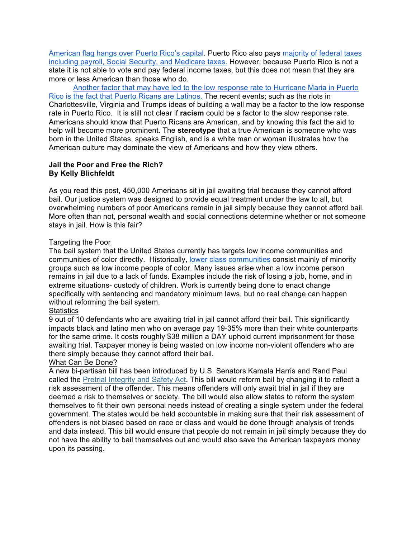American flag hangs over Puerto Rico's capital. Puerto Rico also pays majority of federal taxes including payroll, Social Security, and Medicare taxes. However, because Puerto Rico is not a state it is not able to vote and pay federal income taxes, but this does not mean that they are more or less American than those who do.

 Another factor that may have led to the low response rate to Hurricane Maria in Puerto Rico is the fact that Puerto Ricans are Latinos. The recent events; such as the riots in Charlottesville, Virginia and Trumps ideas of building a wall may be a factor to the low response rate in Puerto Rico. It is still not clear if **racism** could be a factor to the slow response rate. Americans should know that Puerto Ricans are American, and by knowing this fact the aid to help will become more prominent. The **stereotype** that a true American is someone who was born in the United States, speaks English, and is a white man or woman illustrates how the American culture may dominate the view of Americans and how they view others.

## **Jail the Poor and Free the Rich? By Kelly Blichfeldt**

As you read this post, 450,000 Americans sit in jail awaiting trial because they cannot afford bail. Our justice system was designed to provide equal treatment under the law to all, but overwhelming numbers of poor Americans remain in jail simply because they cannot afford bail. More often than not, personal wealth and social connections determine whether or not someone stays in jail. How is this fair?

## Targeting the Poor

The bail system that the United States currently has targets low income communities and communities of color directly. Historically, lower class communities consist mainly of minority groups such as low income people of color. Many issues arise when a low income person remains in jail due to a lack of funds. Examples include the risk of losing a job, home, and in extreme situations- custody of children. Work is currently being done to enact change specifically with sentencing and mandatory minimum laws, but no real change can happen without reforming the bail system.

## **Statistics**

9 out of 10 defendants who are awaiting trial in jail cannot afford their bail. This significantly impacts black and latino men who on average pay 19-35% more than their white counterparts for the same crime. It costs roughly \$38 million a DAY uphold current imprisonment for those awaiting trial. Taxpayer money is being wasted on low income non-violent offenders who are there simply because they cannot afford their bail.

## What Can Be Done?

A new bi-partisan bill has been introduced by U.S. Senators Kamala Harris and Rand Paul called the Pretrial Integrity and Safety Act. This bill would reform bail by changing it to reflect a risk assessment of the offender. This means offenders will only await trial in jail if they are deemed a risk to themselves or society. The bill would also allow states to reform the system themselves to fit their own personal needs instead of creating a single system under the federal government. The states would be held accountable in making sure that their risk assessment of offenders is not biased based on race or class and would be done through analysis of trends and data instead. This bill would ensure that people do not remain in jail simply because they do not have the ability to bail themselves out and would also save the American taxpayers money upon its passing.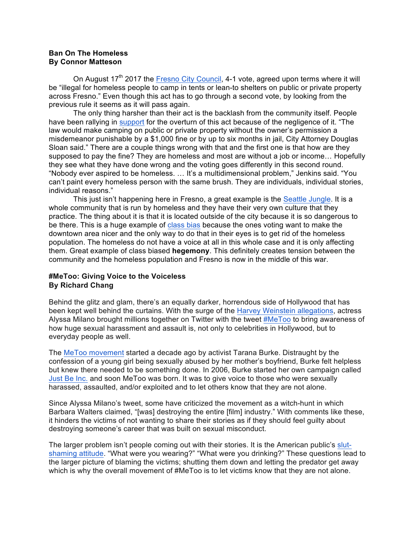#### **Ban On The Homeless By Connor Matteson**

On August  $17<sup>th</sup>$  2017 the Fresno City Council, 4-1 vote, agreed upon terms where it will be "illegal for homeless people to camp in tents or lean-to shelters on public or private property across Fresno." Even though this act has to go through a second vote, by looking from the previous rule it seems as it will pass again.

The only thing harsher than their act is the backlash from the community itself. People have been rallying in support for the overturn of this act because of the negligence of it. "The law would make camping on public or private property without the owner's permission a misdemeanor punishable by a \$1,000 fine or by up to six months in jail, City Attorney Douglas Sloan said." There are a couple things wrong with that and the first one is that how are they supposed to pay the fine? They are homeless and most are without a job or income… Hopefully they see what they have done wrong and the voting goes differently in this second round. "Nobody ever aspired to be homeless. … It's a multidimensional problem," Jenkins said. "You can't paint every homeless person with the same brush. They are individuals, individual stories, individual reasons."

This just isn't happening here in Fresno, a great example is the Seattle Jungle. It is a whole community that is run by homeless and they have their very own culture that they practice. The thing about it is that it is located outside of the city because it is so dangerous to be there. This is a huge example of class bias because the ones voting want to make the downtown area nicer and the only way to do that in their eyes is to get rid of the homeless population. The homeless do not have a voice at all in this whole case and it is only affecting them. Great example of class biased **hegemony**. This definitely creates tension between the community and the homeless population and Fresno is now in the middle of this war.

# **#MeToo: Giving Voice to the Voiceless By Richard Chang**

Behind the glitz and glam, there's an equally darker, horrendous side of Hollywood that has been kept well behind the curtains. With the surge of the Harvey Weinstein allegations, actress Alyssa Milano brought millions together on Twitter with the tweet #MeToo to bring awareness of how huge sexual harassment and assault is, not only to celebrities in Hollywood, but to everyday people as well.

The MeToo movement started a decade ago by activist Tarana Burke. Distraught by the confession of a young girl being sexually abused by her mother's boyfriend, Burke felt helpless but knew there needed to be something done. In 2006, Burke started her own campaign called Just Be Inc. and soon MeToo was born. It was to give voice to those who were sexually harassed, assaulted, and/or exploited and to let others know that they are not alone.

Since Alyssa Milano's tweet, some have criticized the movement as a witch-hunt in which Barbara Walters claimed, "[was] destroying the entire [film] industry." With comments like these, it hinders the victims of not wanting to share their stories as if they should feel guilty about destroying someone's career that was built on sexual misconduct.

The larger problem isn't people coming out with their stories. It is the American public's slutshaming attitude. "What were you wearing?" "What were you drinking?" These questions lead to the larger picture of blaming the victims; shutting them down and letting the predator get away which is why the overall movement of #MeToo is to let victims know that they are not alone.